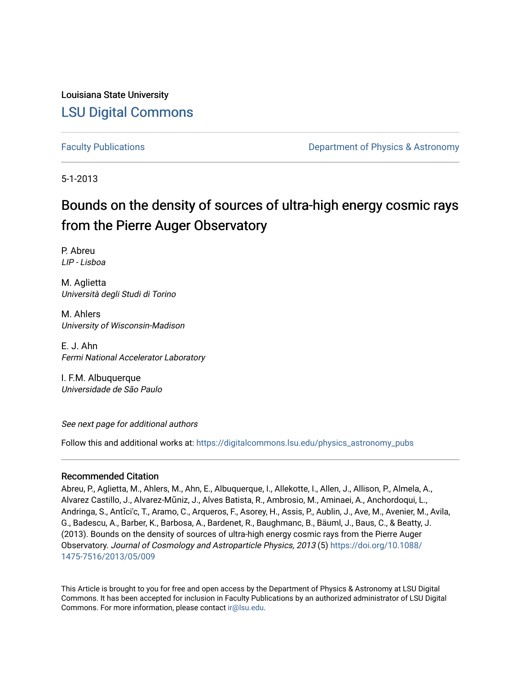Louisiana State University [LSU Digital Commons](https://digitalcommons.lsu.edu/)

[Faculty Publications](https://digitalcommons.lsu.edu/physics_astronomy_pubs) **Example 2** Constant Department of Physics & Astronomy

5-1-2013

# Bounds on the density of sources of ultra-high energy cosmic rays from the Pierre Auger Observatory

P. Abreu LIP - Lisboa

M. Aglietta Università degli Studi di Torino

M. Ahlers University of Wisconsin-Madison

E. J. Ahn Fermi National Accelerator Laboratory

I. F.M. Albuquerque Universidade de São Paulo

See next page for additional authors

Follow this and additional works at: [https://digitalcommons.lsu.edu/physics\\_astronomy\\_pubs](https://digitalcommons.lsu.edu/physics_astronomy_pubs?utm_source=digitalcommons.lsu.edu%2Fphysics_astronomy_pubs%2F3252&utm_medium=PDF&utm_campaign=PDFCoverPages) 

### Recommended Citation

Abreu, P., Aglietta, M., Ahlers, M., Ahn, E., Albuquerque, I., Allekotte, I., Allen, J., Allison, P., Almela, A., Alvarez Castillo, J., Alvarez-Mũniz, J., Alves Batista, R., Ambrosio, M., Aminaei, A., Anchordoqui, L., Andringa, S., Antǐci'c, T., Aramo, C., Arqueros, F., Asorey, H., Assis, P., Aublin, J., Ave, M., Avenier, M., Avila, G., Badescu, A., Barber, K., Barbosa, A., Bardenet, R., Baughmanc, B., Bäuml, J., Baus, C., & Beatty, J. (2013). Bounds on the density of sources of ultra-high energy cosmic rays from the Pierre Auger Observatory. Journal of Cosmology and Astroparticle Physics, 2013 (5) [https://doi.org/10.1088/](https://doi.org/10.1088/1475-7516/2013/05/009) [1475-7516/2013/05/009](https://doi.org/10.1088/1475-7516/2013/05/009) 

This Article is brought to you for free and open access by the Department of Physics & Astronomy at LSU Digital Commons. It has been accepted for inclusion in Faculty Publications by an authorized administrator of LSU Digital Commons. For more information, please contact [ir@lsu.edu](mailto:ir@lsu.edu).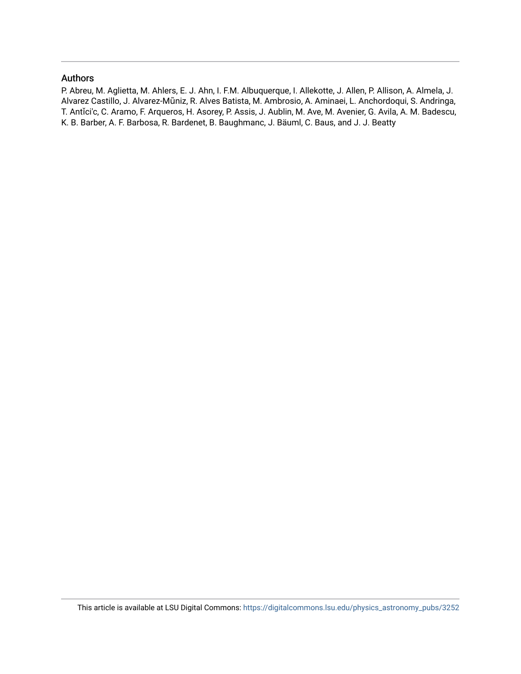#### Authors

P. Abreu, M. Aglietta, M. Ahlers, E. J. Ahn, I. F.M. Albuquerque, I. Allekotte, J. Allen, P. Allison, A. Almela, J. Alvarez Castillo, J. Alvarez-Mũniz, R. Alves Batista, M. Ambrosio, A. Aminaei, L. Anchordoqui, S. Andringa, T. Antǐci'c, C. Aramo, F. Arqueros, H. Asorey, P. Assis, J. Aublin, M. Ave, M. Avenier, G. Avila, A. M. Badescu, K. B. Barber, A. F. Barbosa, R. Bardenet, B. Baughmanc, J. Bäuml, C. Baus, and J. J. Beatty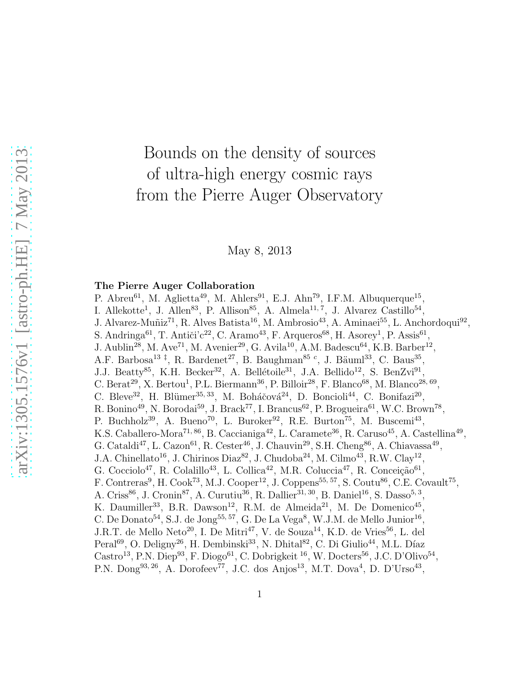# Bounds on the density of sources of ultra-high energy cosmic rays from the Pierre Auger Observatory

May 8, 2013

### The Pierre Auger Collaboration

P. Abreu<sup>61</sup>, M. Aglietta<sup>49</sup>, M. Ahlers<sup>91</sup>, E.J. Ahn<sup>79</sup>, I.F.M. Albuquerque<sup>15</sup>, I. Allekotte<sup>1</sup>, J. Allen<sup>83</sup>, P. Allison<sup>85</sup>, A. Almela<sup>11, 7</sup>, J. Alvarez Castillo<sup>54</sup>, J. Alvarez-Muñiz<sup>71</sup>, R. Alves Batista<sup>16</sup>, M. Ambrosio<sup>43</sup>, A. Aminaei<sup>55</sup>, L. Anchordoqui<sup>92</sup>, S. Andringa<sup>61</sup>, T. Antiči'c<sup>22</sup>, C. Aramo<sup>43</sup>, F. Arqueros<sup>68</sup>, H. Asorey<sup>1</sup>, P. Assis<sup>61</sup>, J. Aublin<sup>28</sup>, M. Ave<sup>71</sup>, M. Avenier<sup>29</sup>, G. Avila<sup>10</sup>, A.M. Badescu<sup>64</sup>, K.B. Barber<sup>12</sup>, A.F. Barbosa<sup>13‡</sup>, R. Bardenet<sup>27</sup>, B. Baughman<sup>85</sup><sup>c</sup>, J. Bäuml<sup>33</sup>, C. Baus<sup>35</sup>, J.J. Beatty<sup>85</sup>, K.H. Becker<sup>32</sup>, A. Bellétoile<sup>31</sup>, J.A. Bellido<sup>12</sup>, S. BenZvi<sup>91</sup>, C. Berat<sup>29</sup>, X. Bertou<sup>1</sup>, P.L. Biermann<sup>36</sup>, P. Billoir<sup>28</sup>, F. Blanco<sup>68</sup>, M. Blanco<sup>28, 69</sup>, C. Bleve<sup>32</sup>, H. Blümer<sup>35, 33</sup>, M. Boháčová<sup>24</sup>, D. Boncioli<sup>44</sup>, C. Bonifazi<sup>20</sup>, R. Bonino<sup>49</sup>, N. Borodai<sup>59</sup>, J. Brack<sup>77</sup>, I. Brancus<sup>62</sup>, P. Brogueira<sup>61</sup>, W.C. Brown<sup>78</sup>, P. Buchholz<sup>39</sup>, A. Bueno<sup>70</sup>, L. Buroker<sup>92</sup>, R.E. Burton<sup>75</sup>, M. Buscemi<sup>43</sup>, K.S. Caballero-Mora<sup>71, 86</sup>, B. Caccianiga<sup>42</sup>, L. Caramete<sup>36</sup>, R. Caruso<sup>45</sup>, A. Castellina<sup>49</sup>, G. Cataldi<sup>47</sup>, L. Cazon<sup>61</sup>, R. Cester<sup>46</sup>, J. Chauvin<sup>29</sup>, S.H. Cheng<sup>86</sup>, A. Chiavassa<sup>49</sup>, J.A. Chinellato<sup>16</sup>, J. Chirinos Diaz<sup>82</sup>, J. Chudoba<sup>24</sup>, M. Cilmo<sup>43</sup>, R.W. Clay<sup>12</sup>, G. Cocciolo<sup>47</sup>, R. Colalillo<sup>43</sup>, L. Collica<sup>42</sup>, M.R. Coluccia<sup>47</sup>, R. Conceição<sup>61</sup>, F. Contreras<sup>9</sup>, H. Cook<sup>73</sup>, M.J. Cooper<sup>12</sup>, J. Coppens<sup>55, 57</sup>, S. Coutu<sup>86</sup>, C.E. Covault<sup>75</sup>, A. Criss<sup>86</sup>, J. Cronin<sup>87</sup>, A. Curutiu<sup>36</sup>, R. Dallier<sup>31, 30</sup>, B. Daniel<sup>16</sup>, S. Dasso<sup>5, 3</sup>, K. Daumiller<sup>33</sup>, B.R. Dawson<sup>12</sup>, R.M. de Almeida<sup>21</sup>, M. De Domenico<sup>45</sup>, C. De Donato<sup>54</sup>, S.J. de Jong<sup>55, 57</sup>, G. De La Vega<sup>8</sup>, W.J.M. de Mello Junior<sup>16</sup>, J.R.T. de Mello Neto<sup>20</sup>, I. De Mitri<sup>47</sup>, V. de Souza<sup>14</sup>, K.D. de Vries<sup>56</sup>, L. del Peral<sup>69</sup>, O. Deligny<sup>26</sup>, H. Dembinski<sup>33</sup>, N. Dhital<sup>82</sup>, C. Di Giulio<sup>44</sup>, M.L. Díaz Castro<sup>13</sup>, P.N. Diep<sup>93</sup>, F. Diogo<sup>61</sup>, C. Dobrigkeit<sup>16</sup>, W. Docters<sup>56</sup>, J.C. D'Olivo<sup>54</sup>, P.N. Dong<sup>93, 26</sup>, A. Dorofeev<sup>77</sup>, J.C. dos Anjos<sup>13</sup>, M.T. Dova<sup>4</sup>, D. D'Urso<sup>43</sup>,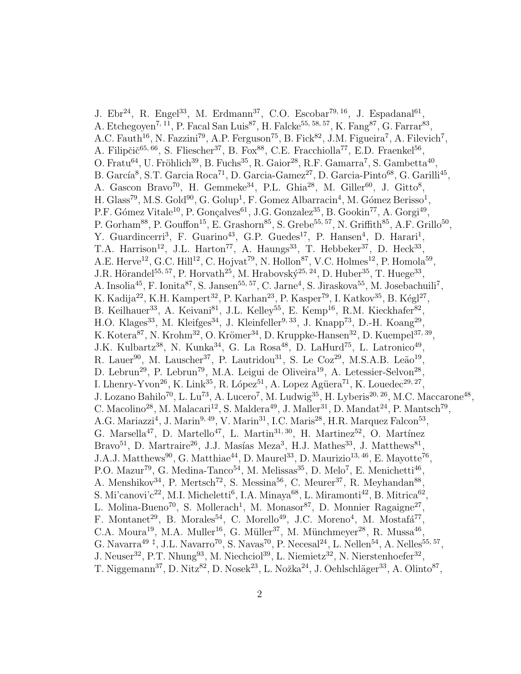J. Ebr<sup>24</sup>, R. Engel<sup>33</sup>, M. Erdmann<sup>37</sup>, C.O. Escobar<sup>79, 16</sup>, J. Espadanal<sup>61</sup>, A. Etchegoyen<sup>7, 11</sup>, P. Facal San Luis<sup>87</sup>, H. Falcke<sup>55, 58, 57</sup>, K. Fang<sup>87</sup>, G. Farrar<sup>83</sup>, A.C. Fauth<sup>16</sup>, N. Fazzini<sup>79</sup>, A.P. Ferguson<sup>75</sup>, B. Fick<sup>82</sup>, J.M. Figueira<sup>7</sup>, A. Filevich<sup>7</sup>, A. Filipčič<sup>65, 66</sup>, S. Fliescher<sup>37</sup>, B. Fox<sup>88</sup>, C.E. Fracchiolla<sup>77</sup>, E.D. Fraenkel<sup>56</sup>, O. Fratu<sup>64</sup>, U. Fröhlich<sup>39</sup>, B. Fuchs<sup>35</sup>, R. Gaior<sup>28</sup>, R.F. Gamarra<sup>7</sup>, S. Gambetta<sup>40</sup>, B. García<sup>8</sup>, S.T. Garcia Roca<sup>71</sup>, D. Garcia-Gamez<sup>27</sup>, D. Garcia-Pinto<sup>68</sup>, G. Garilli<sup>45</sup>, A. Gascon Bravo<sup>70</sup>, H. Gemmeke<sup>34</sup>, P.L. Ghia<sup>28</sup>, M. Giller<sup>60</sup>, J. Gitto<sup>8</sup>, H. Glass<sup>79</sup>, M.S. Gold<sup>90</sup>, G. Golup<sup>1</sup>, F. Gomez Albarracin<sup>4</sup>, M. Gómez Berisso<sup>1</sup>, P.F. Gómez Vitale<sup>10</sup>, P. Gonçalves<sup>61</sup>, J.G. Gonzalez<sup>35</sup>, B. Gookin<sup>77</sup>, A. Gorgi<sup>49</sup>, P. Gorham<sup>88</sup>, P. Gouffon<sup>15</sup>, E. Grashorn<sup>85</sup>, S. Grebe<sup>55, 57</sup>, N. Griffith<sup>85</sup>, A.F. Grillo<sup>50</sup>, Y. Guardincerri<sup>3</sup>, F. Guarino<sup>43</sup>, G.P. Guedes<sup>17</sup>, P. Hansen<sup>4</sup>, D. Harari<sup>1</sup>, T.A. Harrison<sup>12</sup>, J.L. Harton<sup>77</sup>, A. Haungs<sup>33</sup>, T. Hebbeker<sup>37</sup>, D. Heck<sup>33</sup>, A.E. Herve<sup>12</sup>, G.C. Hill<sup>12</sup>, C. Hojvat<sup>79</sup>, N. Hollon<sup>87</sup>, V.C. Holmes<sup>12</sup>, P. Homola<sup>59</sup>, J.R. Hörandel<sup>55, 57</sup>, P. Horvath<sup>25</sup>, M. Hrabovský<sup>25, 24</sup>, D. Huber<sup>35</sup>, T. Huege<sup>33</sup>, A. Insolia<sup>45</sup>, F. Ionita<sup>87</sup>, S. Jansen<sup>55, 57</sup>, C. Jarne<sup>4</sup>, S. Jiraskova<sup>55</sup>, M. Josebachuili<sup>7</sup>, K. Kadija<sup>22</sup>, K.H. Kampert<sup>32</sup>, P. Karhan<sup>23</sup>, P. Kasper<sup>79</sup>, I. Katkov<sup>35</sup>, B. Kégl<sup>27</sup>, B. Keilhauer<sup>33</sup>, A. Keivani<sup>81</sup>, J.L. Kelley<sup>55</sup>, E. Kemp<sup>16</sup>, R.M. Kieckhafer<sup>82</sup>, H.O. Klages<sup>33</sup>, M. Kleifges<sup>34</sup>, J. Kleinfeller<sup>9, 33</sup>, J. Knapp<sup>73</sup>, D.-H. Koang<sup>29</sup>, K. Kotera<sup>87</sup>, N. Krohm<sup>32</sup>, O. Krömer<sup>34</sup>, D. Kruppke-Hansen<sup>32</sup>, D. Kuempel<sup>37, 39</sup>, J.K. Kulbartz<sup>38</sup>, N. Kunka<sup>34</sup>, G. La Rosa<sup>48</sup>, D. LaHurd<sup>75</sup>, L. Latronico<sup>49</sup>, R. Lauer<sup>90</sup>, M. Lauscher<sup>37</sup>, P. Lautridou<sup>31</sup>, S. Le Coz<sup>29</sup>, M.S.A.B. Leão<sup>19</sup>, D. Lebrun<sup>29</sup>, P. Lebrun<sup>79</sup>, M.A. Leigui de Oliveira<sup>19</sup>, A. Letessier-Selvon<sup>28</sup>, I. Lhenry-Yvon<sup>26</sup>, K. Link<sup>35</sup>, R. López<sup>51</sup>, A. Lopez Agüera<sup>71</sup>, K. Louedec<sup>29, 27</sup>, J. Lozano Bahilo<sup>70</sup>, L. Lu<sup>73</sup>, A. Lucero<sup>7</sup>, M. Ludwig<sup>35</sup>, H. Lyberis<sup>20, 26</sup>, M.C. Maccarone<sup>48</sup>, C. Macolino<sup>28</sup>, M. Malacari<sup>12</sup>, S. Maldera<sup>49</sup>, J. Maller<sup>31</sup>, D. Mandat<sup>24</sup>, P. Mantsch<sup>79</sup>, A.G. Mariazzi<sup>4</sup>, J. Marin<sup>9, 49</sup>, V. Marin<sup>31</sup>, I.C. Maris<sup>28</sup>, H.R. Marquez Falcon<sup>53</sup>, G. Marsella<sup>47</sup>, D. Martello<sup>47</sup>, L. Martin<sup>31, 30</sup>, H. Martinez<sup>52</sup>, O. Martínez Bravo<sup>51</sup>, D. Martraire<sup>26</sup>, J.J. Masías Meza<sup>3</sup>, H.J. Mathes<sup>33</sup>, J. Matthews<sup>81</sup>, J.A.J. Matthews<sup>90</sup>, G. Matthiae<sup>44</sup>, D. Maurel<sup>33</sup>, D. Maurizio<sup>13, 46</sup>, E. Mayotte<sup>76</sup>, P.O. Mazur<sup>79</sup>, G. Medina-Tanco<sup>54</sup>, M. Melissas<sup>35</sup>, D. Melo<sup>7</sup>, E. Menichetti<sup>46</sup>, A. Menshikov<sup>34</sup>, P. Mertsch<sup>72</sup>, S. Messina<sup>56</sup>, C. Meurer<sup>37</sup>, R. Meyhandan<sup>88</sup>, S. Mi'canovi'c<sup>22</sup>, M.I. Micheletti<sup>6</sup>, I.A. Minaya<sup>68</sup>, L. Miramonti<sup>42</sup>, B. Mitrica<sup>62</sup>, L. Molina-Bueno<sup>70</sup>, S. Mollerach<sup>1</sup>, M. Monasor<sup>87</sup>, D. Monnier Ragaigne<sup>27</sup>, F. Montanet<sup>29</sup>, B. Morales<sup>54</sup>, C. Morello<sup>49</sup>, J.C. Moreno<sup>4</sup>, M. Mostafá<sup>77</sup>, C.A. Moura<sup>19</sup>, M.A. Muller<sup>16</sup>, G. Müller<sup>37</sup>, M. Münchmeyer<sup>28</sup>, R. Mussa<sup>46</sup>, G. Navarra<sup>49‡</sup>, J.L. Navarro<sup>70</sup>, S. Navas<sup>70</sup>, P. Necesal<sup>24</sup>, L. Nellen<sup>54</sup>, A. Nelles<sup>55, 57</sup>, J. Neuser<sup>32</sup>, P.T. Nhung<sup>93</sup>, M. Niechciol<sup>39</sup>, L. Niemietz<sup>32</sup>, N. Nierstenhoefer<sup>32</sup>, T. Niggemann<sup>37</sup>, D. Nitz<sup>82</sup>, D. Nosek<sup>23</sup>, L. Nožka<sup>24</sup>, J. Oehlschläger<sup>33</sup>, A. Olinto<sup>87</sup>,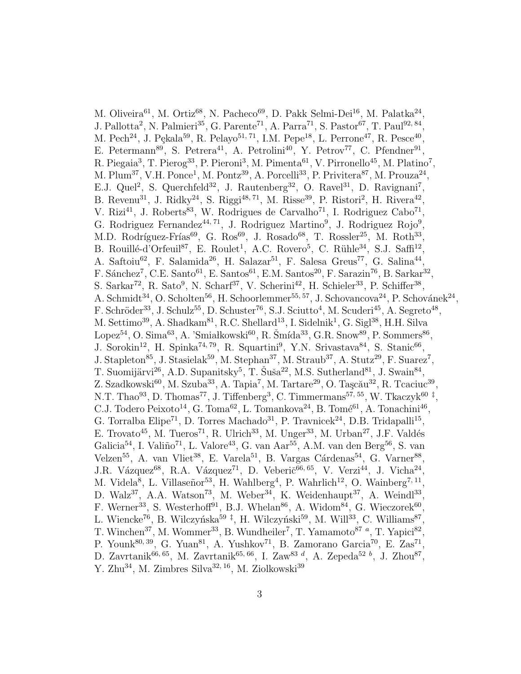M. Oliveira<sup>61</sup>, M. Ortiz<sup>68</sup>, N. Pacheco<sup>69</sup>, D. Pakk Selmi-Dei<sup>16</sup>, M. Palatka<sup>24</sup>, J. Pallotta<sup>2</sup>, N. Palmieri<sup>35</sup>, G. Parente<sup>71</sup>, A. Parra<sup>71</sup>, S. Pastor<sup>67</sup>, T. Paul<sup>92, 84</sup>, M. Pech<sup>24</sup>, J. Pękala<sup>59</sup>, R. Pelayo<sup>51, 71</sup>, I.M. Pepe<sup>18</sup>, L. Perrone<sup>47</sup>, R. Pesce<sup>40</sup>, E. Petermann<sup>89</sup>, S. Petrera<sup>41</sup>, A. Petrolini<sup>40</sup>, Y. Petrov<sup>77</sup>, C. Pfendner<sup>91</sup>, R. Piegaia<sup>3</sup>, T. Pierog<sup>33</sup>, P. Pieroni<sup>3</sup>, M. Pimenta<sup>61</sup>, V. Pirronello<sup>45</sup>, M. Platino<sup>7</sup>, M. Plum<sup>37</sup>, V.H. Ponce<sup>1</sup>, M. Pontz<sup>39</sup>, A. Porcelli<sup>33</sup>, P. Privitera<sup>87</sup>, M. Prouza<sup>24</sup>, E.J. Quel<sup>2</sup>, S. Querchfeld<sup>32</sup>, J. Rautenberg<sup>32</sup>, O. Ravel<sup>31</sup>, D. Ravignani<sup>7</sup>, B. Revenu<sup>31</sup>, J. Ridky<sup>24</sup>, S. Riggi<sup>48, 71</sup>, M. Risse<sup>39</sup>, P. Ristori<sup>2</sup>, H. Rivera<sup>42</sup>, V. Rizi<sup>41</sup>, J. Roberts<sup>83</sup>, W. Rodrigues de Carvalho<sup>71</sup>, I. Rodriguez Cabo<sup>71</sup>, G. Rodriguez Fernandez<sup>44, 71</sup>, J. Rodriguez Martino<sup>9</sup>, J. Rodriguez Rojo<sup>9</sup>, M.D. Rodríguez-Frías<sup>69</sup>, G. Ros<sup>69</sup>, J. Rosado<sup>68</sup>, T. Rossler<sup>25</sup>, M. Roth<sup>33</sup>, B. Rouillé-d'Orfeuil<sup>87</sup>, E. Roulet<sup>1</sup>, A.C. Rovero<sup>5</sup>, C. Rühle<sup>34</sup>, S.J. Saffi<sup>12</sup>, A. Saftoiu<sup>62</sup>, F. Salamida<sup>26</sup>, H. Salazar<sup>51</sup>, F. Salesa Greus<sup>77</sup>, G. Salina<sup>44</sup>, F. Sánchez<sup>7</sup>, C.E. Santo<sup>61</sup>, E. Santos<sup>61</sup>, E.M. Santos<sup>20</sup>, F. Sarazin<sup>76</sup>, B. Sarkar<sup>32</sup>, S. Sarkar<sup>72</sup>, R. Sato<sup>9</sup>, N. Scharf<sup>37</sup>, V. Scherini<sup>42</sup>, H. Schieler<sup>33</sup>, P. Schiffer<sup>38</sup>, A. Schmidt<sup>34</sup>, O. Scholten<sup>56</sup>, H. Schoorlemmer<sup>55, 57</sup>, J. Schovancova<sup>24</sup>, P. Schovánek<sup>24</sup>, F. Schröder<sup>33</sup>, J. Schulz<sup>55</sup>, D. Schuster<sup>76</sup>, S.J. Sciutto<sup>4</sup>, M. Scuderi<sup>45</sup>, A. Segreto<sup>48</sup>, M. Settimo<sup>39</sup>, A. Shadkam<sup>81</sup>, R.C. Shellard<sup>13</sup>, I. Sidelnik<sup>1</sup>, G. Sigl<sup>38</sup>, H.H. Silva Lopez<sup>54</sup>, O. Sima<sup>63</sup>, A. 'Smiałkowski<sup>60</sup>, R. Šmída<sup>33</sup>, G.R. Snow<sup>89</sup>, P. Sommers<sup>86</sup>, J. Sorokin<sup>12</sup>, H. Spinka<sup>74, 79</sup>, R. Squartini<sup>9</sup>, Y.N. Srivastava<sup>84</sup>, S. Stanic<sup>66</sup>, J. Stapleton<sup>85</sup>, J. Stasielak<sup>59</sup>, M. Stephan<sup>37</sup>, M. Straub<sup>37</sup>, A. Stutz<sup>29</sup>, F. Suarez<sup>7</sup>, T. Suomijärvi<sup>26</sup>, A.D. Supanitsky<sup>5</sup>, T. Šuša<sup>22</sup>, M.S. Sutherland<sup>81</sup>, J. Swain<sup>84</sup>, Z. Szadkowski<sup>60</sup>, M. Szuba<sup>33</sup>, A. Tapia<sup>7</sup>, M. Tartare<sup>29</sup>, O. Taşcău<sup>32</sup>, R. Tcaciuc<sup>39</sup>, N.T. Thao<sup>93</sup>, D. Thomas<sup>77</sup>, J. Tiffenberg<sup>3</sup>, C. Timmermans<sup>57, 55</sup>, W. Tkaczyk<sup>60‡</sup>, C.J. Todero Peixoto<sup>14</sup>, G. Toma<sup>62</sup>, L. Tomankova<sup>24</sup>, B. Tomé<sup>61</sup>, A. Tonachini<sup>46</sup>, G. Torralba Elipe<sup>71</sup>, D. Torres Machado<sup>31</sup>, P. Travnicek<sup>24</sup>, D.B. Tridapalli<sup>15</sup>, E. Trovato<sup>45</sup>, M. Tueros<sup>71</sup>, R. Ulrich<sup>33</sup>, M. Unger<sup>33</sup>, M. Urban<sup>27</sup>, J.F. Valdés Galicia<sup>54</sup>, I. Valiño<sup>71</sup>, L. Valore<sup>43</sup>, G. van Aar<sup>55</sup>, A.M. van den Berg<sup>56</sup>, S. van Velzen<sup>55</sup>, A. van Vliet<sup>38</sup>, E. Varela<sup>51</sup>, B. Vargas Cárdenas<sup>54</sup>, G. Varner<sup>88</sup>, J.R. Vázquez<sup>68</sup>, R.A. Vázquez<sup>71</sup>, D. Veberič<sup>66, 65</sup>, V. Verzi<sup>44</sup>, J. Vicha<sup>24</sup>, M. Videla<sup>8</sup>, L. Villaseñor<sup>53</sup>, H. Wahlberg<sup>4</sup>, P. Wahrlich<sup>12</sup>, O. Wainberg<sup>7, 11</sup>, D. Walz<sup>37</sup>, A.A. Watson<sup>73</sup>, M. Weber<sup>34</sup>, K. Weidenhaupt<sup>37</sup>, A. Weindl<sup>33</sup>, F. Werner<sup>33</sup>, S. Westerhoff<sup>91</sup>, B.J. Whelan<sup>86</sup>, A. Widom<sup>84</sup>, G. Wieczorek<sup>60</sup>, L. Wiencke<sup>76</sup>, B. Wilczyńska<sup>59‡</sup>, H. Wilczyński<sup>59</sup>, M. Will<sup>33</sup>, C. Williams<sup>87</sup>, T. Winchen<sup>37</sup>, M. Wommer<sup>33</sup>, B. Wundheiler<sup>7</sup>, T. Yamamoto<sup>87</sup><sup>*a*</sup>, T. Yapici<sup>82</sup>, P. Younk<sup>80, 39</sup>, G. Yuan<sup>81</sup>, A. Yushkov<sup>71</sup>, B. Zamorano Garcia<sup>70</sup>, E. Zas<sup>71</sup>, D. Zavrtanik<sup>66, 65</sup>, M. Zavrtanik<sup>65, 66</sup>, I. Zaw<sup>83 d</sup>, A. Zepeda<sup>52 b</sup>, J. Zhou<sup>87</sup>, Y. Zhu<sup>34</sup>, M. Zimbres Silva<sup>32, 16</sup>, M. Ziolkowski<sup>39</sup>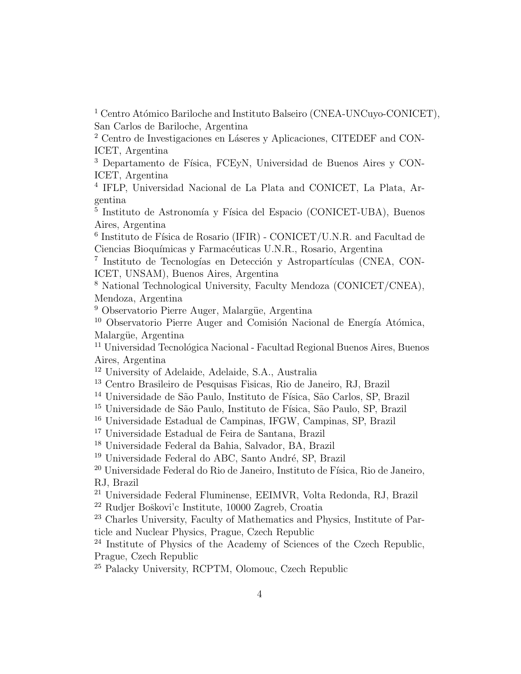<sup>1</sup> Centro Atómico Bariloche and Instituto Balseiro (CNEA-UNCuyo-CONICET), San Carlos de Bariloche, Argentina

<sup>2</sup> Centro de Investigaciones en Láseres y Aplicaciones, CITEDEF and CON-ICET, Argentina

<sup>3</sup> Departamento de Física, FCEyN, Universidad de Buenos Aires y CON-ICET, Argentina

4 IFLP, Universidad Nacional de La Plata and CONICET, La Plata, Argentina

<sup>5</sup> Instituto de Astronomía y Física del Espacio (CONICET-UBA), Buenos Aires, Argentina

 $6$  Instituto de Física de Rosario (IFIR) - CONICET/U.N.R. and Facultad de Ciencias Bioquímicas y Farmacéuticas U.N.R., Rosario, Argentina

<sup>7</sup> Instituto de Tecnologías en Detección y Astropartículas (CNEA, CON-ICET, UNSAM), Buenos Aires, Argentina

<sup>8</sup> National Technological University, Faculty Mendoza (CONICET/CNEA), Mendoza, Argentina

<sup>9</sup> Observatorio Pierre Auger, Malargüe, Argentina

 $10$  Observatorio Pierre Auger and Comisión Nacional de Energía Atómica, Malargüe, Argentina

 $11$  Universidad Tecnológica Nacional - Facultad Regional Buenos Aires, Buenos Aires, Argentina

<sup>12</sup> University of Adelaide, Adelaide, S.A., Australia

<sup>13</sup> Centro Brasileiro de Pesquisas Fisicas, Rio de Janeiro, RJ, Brazil

<sup>14</sup> Universidade de São Paulo, Instituto de Física, São Carlos, SP, Brazil

<sup>15</sup> Universidade de São Paulo, Instituto de Física, São Paulo, SP, Brazil

<sup>16</sup> Universidade Estadual de Campinas, IFGW, Campinas, SP, Brazil

<sup>17</sup> Universidade Estadual de Feira de Santana, Brazil

<sup>18</sup> Universidade Federal da Bahia, Salvador, BA, Brazil

<sup>19</sup> Universidade Federal do ABC, Santo André, SP, Brazil

 $^{20}$ Universidade Federal do Rio de Janeiro, Instituto de Física, Rio de Janeiro, RJ, Brazil

<sup>21</sup> Universidade Federal Fluminense, EEIMVR, Volta Redonda, RJ, Brazil

 $22$  Rudjer Boškovi'c Institute, 10000 Zagreb, Croatia

<sup>23</sup> Charles University, Faculty of Mathematics and Physics, Institute of Particle and Nuclear Physics, Prague, Czech Republic

<sup>24</sup> Institute of Physics of the Academy of Sciences of the Czech Republic, Prague, Czech Republic

<sup>25</sup> Palacky University, RCPTM, Olomouc, Czech Republic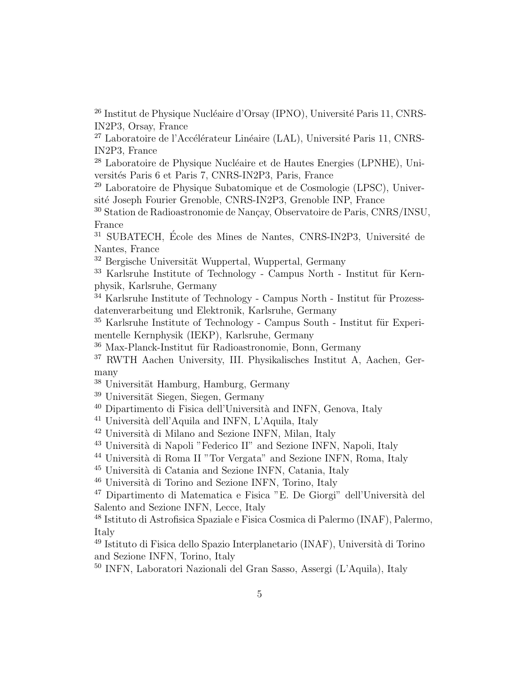<sup>26</sup> Institut de Physique Nucléaire d'Orsay (IPNO), Université Paris 11, CNRS-IN2P3, Orsay, France

 $27$  Laboratoire de l'Accélérateur Linéaire (LAL), Université Paris 11, CNRS-IN2P3, France

<sup>28</sup> Laboratoire de Physique Nucléaire et de Hautes Energies (LPNHE), Universités Paris 6 et Paris 7, CNRS-IN2P3, Paris, France

<sup>29</sup> Laboratoire de Physique Subatomique et de Cosmologie (LPSC), Université Joseph Fourier Grenoble, CNRS-IN2P3, Grenoble INP, France

<sup>30</sup> Station de Radioastronomie de Nançay, Observatoire de Paris, CNRS/INSU, France

 $31$  SUBATECH, École des Mines de Nantes, CNRS-IN2P3, Université de Nantes, France

 $32$  Bergische Universität Wuppertal, Wuppertal, Germany

 $33$  Karlsruhe Institute of Technology - Campus North - Institut für Kernphysik, Karlsruhe, Germany

 $34$  Karlsruhe Institute of Technology - Campus North - Institut für Prozessdatenverarbeitung und Elektronik, Karlsruhe, Germany

 $35$  Karlsruhe Institute of Technology - Campus South - Institut für Experimentelle Kernphysik (IEKP), Karlsruhe, Germany

 $36$  Max-Planck-Institut für Radioastronomie, Bonn, Germany

<sup>37</sup> RWTH Aachen University, III. Physikalisches Institut A, Aachen, Germany

- $38$  Universität Hamburg, Hamburg, Germany
- $39$  Universität Siegen, Siegen, Germany
- $40$  Dipartimento di Fisica dell'Università and INFN, Genova, Italy
- $41$  Università dell'Aquila and INFN, L'Aquila, Italy

 $42$  Università di Milano and Sezione INFN, Milan, Italy

- <sup>43</sup> Università di Napoli "Federico II" and Sezione INFN, Napoli, Italy
- <sup>44</sup> Università di Roma II "Tor Vergata" and Sezione INFN, Roma, Italy
- $^{45}$ Università di Catania and Sezione INFN, Catania, Italy
- $^{46}$  Università di Torino and Sezione INFN, Torino, Italy

 $^{47}$  Dipartimento di Matematica e Fisica "E. De Giorgi" dell'Università del Salento and Sezione INFN, Lecce, Italy

<sup>48</sup> Istituto di Astrofisica Spaziale e Fisica Cosmica di Palermo (INAF), Palermo, Italy

 $^{49}$  Istituto di Fisica dello Spazio Interplanetario (INAF), Università di Torino and Sezione INFN, Torino, Italy

<sup>50</sup> INFN, Laboratori Nazionali del Gran Sasso, Assergi (L'Aquila), Italy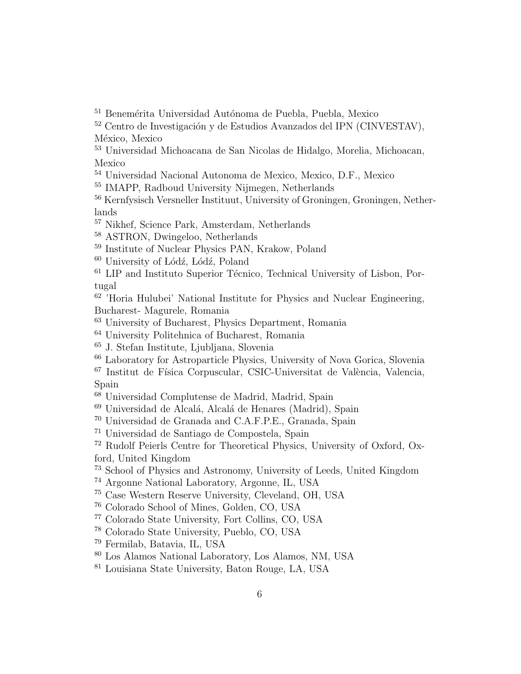$^{51}$  Benemérita Universidad Autónoma de Puebla, Puebla, Mexico

 Centro de Investigación y de Estudios Avanzados del IPN (CINVESTAV), México, Mexico

 Universidad Michoacana de San Nicolas de Hidalgo, Morelia, Michoacan, Mexico

Universidad Nacional Autonoma de Mexico, Mexico, D.F., Mexico

IMAPP, Radboud University Nijmegen, Netherlands

 Kernfysisch Versneller Instituut, University of Groningen, Groningen, Netherlands

Nikhef, Science Park, Amsterdam, Netherlands

ASTRON, Dwingeloo, Netherlands

Institute of Nuclear Physics PAN, Krakow, Poland

University of Lódź, Lódź, Poland

 LIP and Instituto Superior Técnico, Technical University of Lisbon, Portugal

<sup>62</sup> Horia Hulubei' National Institute for Physics and Nuclear Engineering, Bucharest- Magurele, Romania

University of Bucharest, Physics Department, Romania

University Politehnica of Bucharest, Romania

J. Stefan Institute, Ljubljana, Slovenia

Laboratory for Astroparticle Physics, University of Nova Gorica, Slovenia

 Institut de Física Corpuscular, CSIC-Universitat de València, Valencia, Spain

Universidad Complutense de Madrid, Madrid, Spain

<sup>69</sup> Universidad de Alcalá, Alcalá de Henares (Madrid), Spain

Universidad de Granada and C.A.F.P.E., Granada, Spain

Universidad de Santiago de Compostela, Spain

 Rudolf Peierls Centre for Theoretical Physics, University of Oxford, Oxford, United Kingdom

School of Physics and Astronomy, University of Leeds, United Kingdom

Argonne National Laboratory, Argonne, IL, USA

Case Western Reserve University, Cleveland, OH, USA

Colorado School of Mines, Golden, CO, USA

Colorado State University, Fort Collins, CO, USA

Colorado State University, Pueblo, CO, USA

Fermilab, Batavia, IL, USA

Los Alamos National Laboratory, Los Alamos, NM, USA

Louisiana State University, Baton Rouge, LA, USA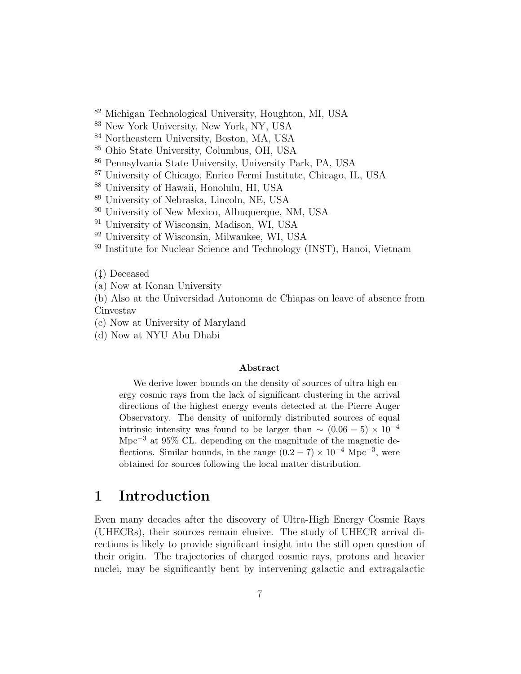<sup>82</sup> Michigan Technological University, Houghton, MI, USA

<sup>83</sup> New York University, New York, NY, USA

<sup>84</sup> Northeastern University, Boston, MA, USA

<sup>85</sup> Ohio State University, Columbus, OH, USA

<sup>86</sup> Pennsylvania State University, University Park, PA, USA

<sup>87</sup> University of Chicago, Enrico Fermi Institute, Chicago, IL, USA

<sup>88</sup> University of Hawaii, Honolulu, HI, USA

<sup>89</sup> University of Nebraska, Lincoln, NE, USA

<sup>90</sup> University of New Mexico, Albuquerque, NM, USA

<sup>91</sup> University of Wisconsin, Madison, WI, USA

<sup>92</sup> University of Wisconsin, Milwaukee, WI, USA

<sup>93</sup> Institute for Nuclear Science and Technology (INST), Hanoi, Vietnam

(‡) Deceased

(a) Now at Konan University

(b) Also at the Universidad Autonoma de Chiapas on leave of absence from Cinvestav

(c) Now at University of Maryland

(d) Now at NYU Abu Dhabi

#### Abstract

We derive lower bounds on the density of sources of ultra-high energy cosmic rays from the lack of significant clustering in the arrival directions of the highest energy events detected at the Pierre Auger Observatory. The density of uniformly distributed sources of equal intrinsic intensity was found to be larger than  $\sim (0.06 - 5) \times 10^{-4}$ Mpc−<sup>3</sup> at 95% CL, depending on the magnitude of the magnetic deflections. Similar bounds, in the range  $(0.2 - 7) \times 10^{-4}$  Mpc<sup>-3</sup>, were obtained for sources following the local matter distribution.

## 1 Introduction

Even many decades after the discovery of Ultra-High Energy Cosmic Rays (UHECRs), their sources remain elusive. The study of UHECR arrival directions is likely to provide significant insight into the still open question of their origin. The trajectories of charged cosmic rays, protons and heavier nuclei, may be significantly bent by intervening galactic and extragalactic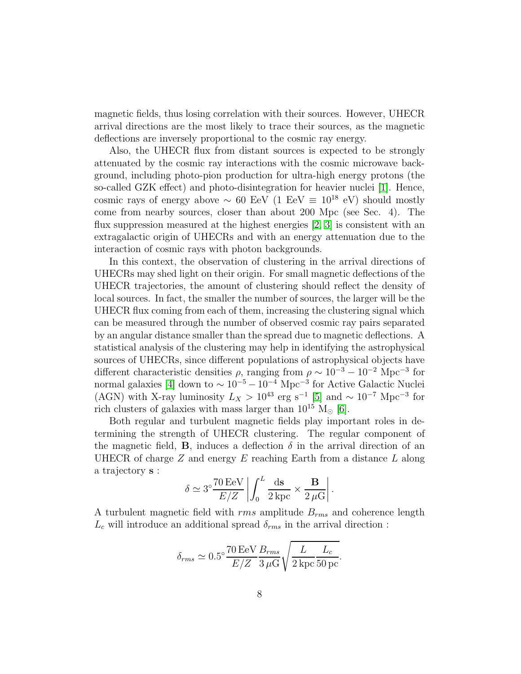magnetic fields, thus losing correlation with their sources. However, UHECR arrival directions are the most likely to trace their sources, as the magnetic deflections are inversely proportional to the cosmic ray energy.

Also, the UHECR flux from distant sources is expected to be strongly attenuated by the cosmic ray interactions with the cosmic microwave background, including photo-pion production for ultra-high energy protons (the so-called GZK effect) and photo-disintegration for heavier nuclei [\[1\]](#page-25-0). Hence, cosmic rays of energy above  $\sim 60$  EeV (1 EeV  $\equiv 10^{18}$  eV) should mostly come from nearby sources, closer than about 200 Mpc (see Sec. 4). The flux suppression measured at the highest energies [\[2,](#page-25-1) [3\]](#page-25-2) is consistent with an extragalactic origin of UHECRs and with an energy attenuation due to the interaction of cosmic rays with photon backgrounds.

In this context, the observation of clustering in the arrival directions of UHECRs may shed light on their origin. For small magnetic deflections of the UHECR trajectories, the amount of clustering should reflect the density of local sources. In fact, the smaller the number of sources, the larger will be the UHECR flux coming from each of them, increasing the clustering signal which can be measured through the number of observed cosmic ray pairs separated by an angular distance smaller than the spread due to magnetic deflections. A statistical analysis of the clustering may help in identifying the astrophysical sources of UHECRs, since different populations of astrophysical objects have different characteristic densities  $\rho$ , ranging from  $\rho \sim 10^{-3} - 10^{-2}$  Mpc<sup>-3</sup> for normal galaxies [\[4\]](#page-25-3) down to  $\sim 10^{-5} - 10^{-4}$  Mpc<sup>-3</sup> for Active Galactic Nuclei (AGN) with X-ray luminosity  $L_X > 10^{43}$  erg s<sup>-1</sup> [\[5\]](#page-25-4) and ~ 10<sup>-7</sup> Mpc<sup>-3</sup> for rich clusters of galaxies with mass larger than  $10^{15}$  M<sub> $\odot$ </sub> [\[6\]](#page-25-5).

Both regular and turbulent magnetic fields play important roles in determining the strength of UHECR clustering. The regular component of the magnetic field, **B**, induces a deflection  $\delta$  in the arrival direction of an UHECR of charge  $Z$  and energy  $E$  reaching Earth from a distance  $L$  along a trajectory s :

$$
\delta \simeq 3^{\circ} \frac{70 \,\text{EeV}}{E/Z} \left| \int_0^L \frac{\text{ds}}{2 \,\text{kpc}} \times \frac{\mathbf{B}}{2 \,\mu\text{G}} \right|.
$$

A turbulent magnetic field with  $rms$  amplitude  $B_{rms}$  and coherence length  $L_c$  will introduce an additional spread  $\delta_{rms}$  in the arrival direction :

$$
\delta_{rms} \simeq 0.5^{\circ} \frac{70 \,\mathrm{EeV}}{E/Z} \frac{B_{rms}}{3 \,\mu\mathrm{G}} \sqrt{\frac{L}{2 \,\mathrm{kpc}} \frac{L_c}{50 \,\mathrm{pc}}}.
$$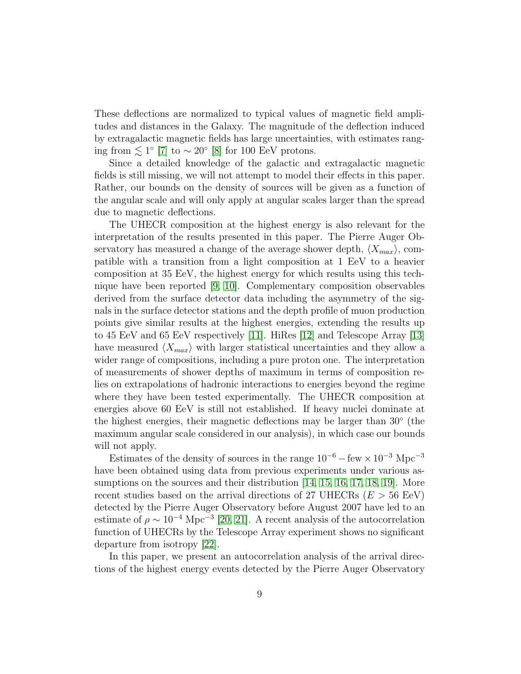These deflections are normalized to typical values of magnetic field amplitudes and distances in the Galaxy. The magnitude of the deflection induced by extragalactic magnetic fields has large uncertainties, with estimates ranging from  $\lesssim 1^{\circ}$  [\[7\]](#page-25-6) to  $\sim 20^{\circ}$  [\[8\]](#page-25-7) for 100 EeV protons.

Since a detailed knowledge of the galactic and extragalactic magnetic fields is still missing, we will not attempt to model their effects in this paper. Rather, our bounds on the density of sources will be given as a function of the angular scale and will only apply at angular scales larger than the spread due to magnetic deflections.

The UHECR composition at the highest energy is also relevant for the interpretation of the results presented in this paper. The Pierre Auger Observatory has measured a change of the average shower depth,  $\langle X_{max} \rangle$ , compatible with a transition from a light composition at 1 EeV to a heavier composition at 35 EeV, the highest energy for which results using this technique have been reported [\[9,](#page-25-8) [10\]](#page-25-9). Complementary composition observables derived from the surface detector data including the asymmetry of the signals in the surface detector stations and the depth profile of muon production points give similar results at the highest energies, extending the results up to 45 EeV and 65 EeV respectively [\[11\]](#page-25-10). HiRes [\[12\]](#page-25-11) and Telescope Array [\[13\]](#page-25-12) have measured  $\langle X_{max} \rangle$  with larger statistical uncertainties and they allow a wider range of compositions, including a pure proton one. The interpretation of measurements of shower depths of maximum in terms of composition relies on extrapolations of hadronic interactions to energies beyond the regime where they have been tested experimentally. The UHECR composition at energies above 60 EeV is still not established. If heavy nuclei dominate at the highest energies, their magnetic deflections may be larger than 30◦ (the maximum angular scale considered in our analysis), in which case our bounds will not apply.

Estimates of the density of sources in the range  $10^{-6}$  – few  $\times 10^{-3}$  Mpc<sup>-3</sup> have been obtained using data from previous experiments under various assumptions on the sources and their distribution [\[14,](#page-25-13) [15,](#page-25-14) [16,](#page-26-0) [17,](#page-26-1) [18,](#page-26-2) [19\]](#page-26-3). More recent studies based on the arrival directions of 27 UHECRs ( $E > 56$  EeV) detected by the Pierre Auger Observatory before August 2007 have led to an estimate of  $\rho \sim 10^{-4}$  Mpc<sup>-3</sup> [\[20,](#page-26-4) [21\]](#page-26-5). A recent analysis of the autocorrelation function of UHECRs by the Telescope Array experiment shows no significant departure from isotropy [\[22\]](#page-26-6).

In this paper, we present an autocorrelation analysis of the arrival directions of the highest energy events detected by the Pierre Auger Observatory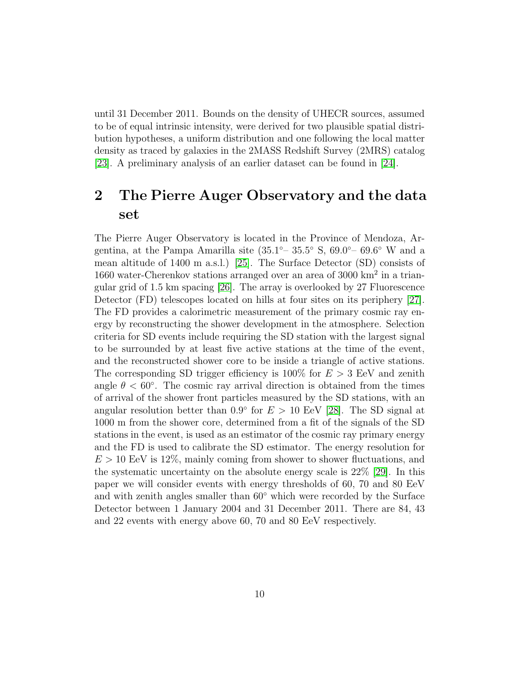until 31 December 2011. Bounds on the density of UHECR sources, assumed to be of equal intrinsic intensity, were derived for two plausible spatial distribution hypotheses, a uniform distribution and one following the local matter density as traced by galaxies in the 2MASS Redshift Survey (2MRS) catalog [\[23\]](#page-26-7). A preliminary analysis of an earlier dataset can be found in [\[24\]](#page-26-8).

# 2 The Pierre Auger Observatory and the data set

The Pierre Auger Observatory is located in the Province of Mendoza, Argentina, at the Pampa Amarilla site  $(35.1°-35.5° S, 69.0°-69.6° W$  and a mean altitude of 1400 m a.s.l.) [\[25\]](#page-26-9). The Surface Detector (SD) consists of 1660 water-Cherenkov stations arranged over an area of 3000 km<sup>2</sup> in a triangular grid of 1.5 km spacing [\[26\]](#page-26-10). The array is overlooked by 27 Fluorescence Detector (FD) telescopes located on hills at four sites on its periphery [\[27\]](#page-26-11). The FD provides a calorimetric measurement of the primary cosmic ray energy by reconstructing the shower development in the atmosphere. Selection criteria for SD events include requiring the SD station with the largest signal to be surrounded by at least five active stations at the time of the event, and the reconstructed shower core to be inside a triangle of active stations. The corresponding SD trigger efficiency is  $100\%$  for  $E > 3$  EeV and zenith angle  $\theta < 60^{\circ}$ . The cosmic ray arrival direction is obtained from the times of arrival of the shower front particles measured by the SD stations, with an angular resolution better than  $0.9°$  for  $E > 10$  EeV [\[28\]](#page-26-12). The SD signal at 1000 m from the shower core, determined from a fit of the signals of the SD stations in the event, is used as an estimator of the cosmic ray primary energy and the FD is used to calibrate the SD estimator. The energy resolution for  $E > 10$  EeV is 12%, mainly coming from shower to shower fluctuations, and the systematic uncertainty on the absolute energy scale is 22% [\[29\]](#page-26-13). In this paper we will consider events with energy thresholds of 60, 70 and 80 EeV and with zenith angles smaller than 60◦ which were recorded by the Surface Detector between 1 January 2004 and 31 December 2011. There are 84, 43 and 22 events with energy above 60, 70 and 80 EeV respectively.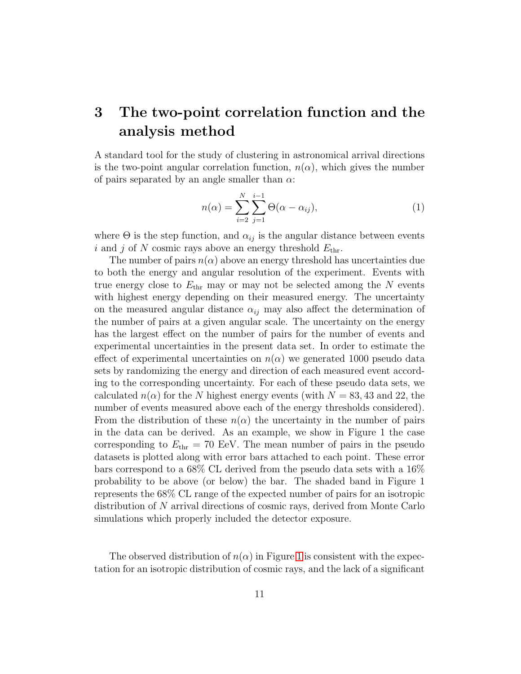# <span id="page-12-0"></span>3 The two-point correlation function and the analysis method

A standard tool for the study of clustering in astronomical arrival directions is the two-point angular correlation function,  $n(\alpha)$ , which gives the number of pairs separated by an angle smaller than  $\alpha$ :

$$
n(\alpha) = \sum_{i=2}^{N} \sum_{j=1}^{i-1} \Theta(\alpha - \alpha_{ij}),
$$
\n(1)

where  $\Theta$  is the step function, and  $\alpha_{ij}$  is the angular distance between events i and j of N cosmic rays above an energy threshold  $E_{\text{thr}}$ .

The number of pairs  $n(\alpha)$  above an energy threshold has uncertainties due to both the energy and angular resolution of the experiment. Events with true energy close to  $E_{\text{thr}}$  may or may not be selected among the N events with highest energy depending on their measured energy. The uncertainty on the measured angular distance  $\alpha_{ij}$  may also affect the determination of the number of pairs at a given angular scale. The uncertainty on the energy has the largest effect on the number of pairs for the number of events and experimental uncertainties in the present data set. In order to estimate the effect of experimental uncertainties on  $n(\alpha)$  we generated 1000 pseudo data sets by randomizing the energy and direction of each measured event according to the corresponding uncertainty. For each of these pseudo data sets, we calculated  $n(\alpha)$  for the N highest energy events (with  $N = 83, 43$  and 22, the number of events measured above each of the energy thresholds considered). From the distribution of these  $n(\alpha)$  the uncertainty in the number of pairs in the data can be derived. As an example, we show in Figure 1 the case corresponding to  $E_{\text{thr}} = 70$  EeV. The mean number of pairs in the pseudo datasets is plotted along with error bars attached to each point. These error bars correspond to a 68% CL derived from the pseudo data sets with a 16% probability to be above (or below) the bar. The shaded band in Figure 1 represents the 68% CL range of the expected number of pairs for an isotropic distribution of N arrival directions of cosmic rays, derived from Monte Carlo simulations which properly included the detector exposure.

The observed distribution of  $n(\alpha)$  in Figure [1](#page-13-0) is consistent with the expectation for an isotropic distribution of cosmic rays, and the lack of a significant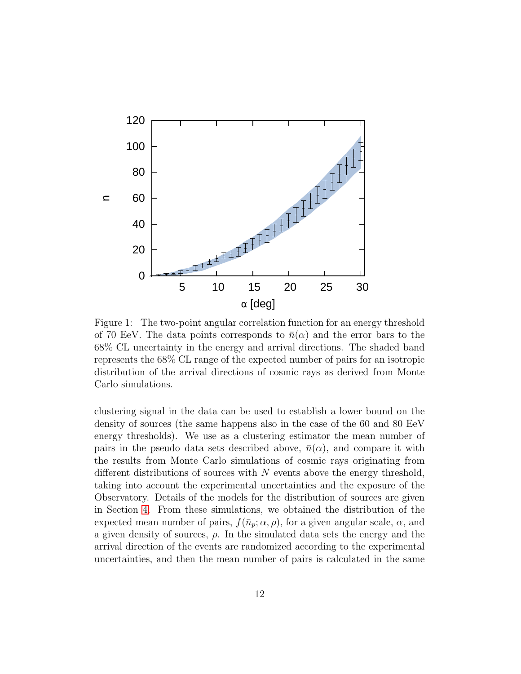

<span id="page-13-0"></span>Figure 1: The two-point angular correlation function for an energy threshold of 70 EeV. The data points corresponds to  $\bar{n}(\alpha)$  and the error bars to the 68% CL uncertainty in the energy and arrival directions. The shaded band represents the 68% CL range of the expected number of pairs for an isotropic distribution of the arrival directions of cosmic rays as derived from Monte Carlo simulations.

clustering signal in the data can be used to establish a lower bound on the density of sources (the same happens also in the case of the 60 and 80 EeV energy thresholds). We use as a clustering estimator the mean number of pairs in the pseudo data sets described above,  $\bar{n}(\alpha)$ , and compare it with the results from Monte Carlo simulations of cosmic rays originating from different distributions of sources with  $N$  events above the energy threshold, taking into account the experimental uncertainties and the exposure of the Observatory. Details of the models for the distribution of sources are given in Section [4.](#page-14-0) From these simulations, we obtained the distribution of the expected mean number of pairs,  $f(\bar{n}_p; \alpha, \rho)$ , for a given angular scale,  $\alpha$ , and a given density of sources,  $\rho$ . In the simulated data sets the energy and the arrival direction of the events are randomized according to the experimental uncertainties, and then the mean number of pairs is calculated in the same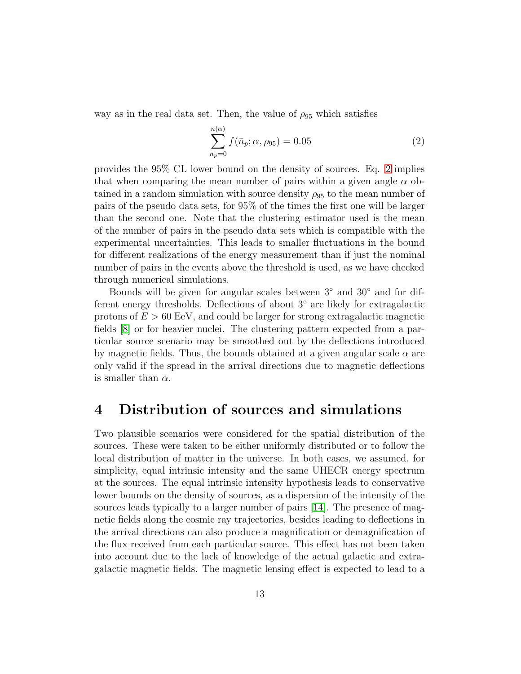way as in the real data set. Then, the value of  $\rho_{95}$  which satisfies

<span id="page-14-1"></span>
$$
\sum_{\bar{n}_p=0}^{\bar{n}(\alpha)} f(\bar{n}_p; \alpha, \rho_{95}) = 0.05
$$
 (2)

provides the 95% CL lower bound on the density of sources. Eq. [2](#page-14-1) implies that when comparing the mean number of pairs within a given angle  $\alpha$  obtained in a random simulation with source density  $\rho_{95}$  to the mean number of pairs of the pseudo data sets, for 95% of the times the first one will be larger than the second one. Note that the clustering estimator used is the mean of the number of pairs in the pseudo data sets which is compatible with the experimental uncertainties. This leads to smaller fluctuations in the bound for different realizations of the energy measurement than if just the nominal number of pairs in the events above the threshold is used, as we have checked through numerical simulations.

Bounds will be given for angular scales between 3◦ and 30◦ and for different energy thresholds. Deflections of about 3° are likely for extragalactic protons of  $E > 60$  EeV, and could be larger for strong extragalactic magnetic fields [\[8\]](#page-25-7) or for heavier nuclei. The clustering pattern expected from a particular source scenario may be smoothed out by the deflections introduced by magnetic fields. Thus, the bounds obtained at a given angular scale  $\alpha$  are only valid if the spread in the arrival directions due to magnetic deflections is smaller than  $\alpha$ .

### <span id="page-14-0"></span>4 Distribution of sources and simulations

Two plausible scenarios were considered for the spatial distribution of the sources. These were taken to be either uniformly distributed or to follow the local distribution of matter in the universe. In both cases, we assumed, for simplicity, equal intrinsic intensity and the same UHECR energy spectrum at the sources. The equal intrinsic intensity hypothesis leads to conservative lower bounds on the density of sources, as a dispersion of the intensity of the sources leads typically to a larger number of pairs [\[14\]](#page-25-13). The presence of magnetic fields along the cosmic ray trajectories, besides leading to deflections in the arrival directions can also produce a magnification or demagnification of the flux received from each particular source. This effect has not been taken into account due to the lack of knowledge of the actual galactic and extragalactic magnetic fields. The magnetic lensing effect is expected to lead to a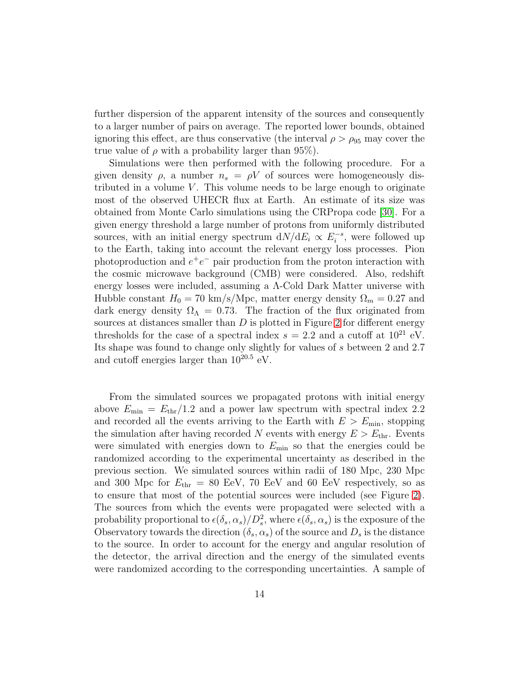further dispersion of the apparent intensity of the sources and consequently to a larger number of pairs on average. The reported lower bounds, obtained ignoring this effect, are thus conservative (the interval  $\rho > \rho_{95}$  may cover the true value of  $\rho$  with a probability larger than 95%).

Simulations were then performed with the following procedure. For a given density  $\rho$ , a number  $n_s = \rho V$  of sources were homogeneously distributed in a volume  $V$ . This volume needs to be large enough to originate most of the observed UHECR flux at Earth. An estimate of its size was obtained from Monte Carlo simulations using the CRPropa code [\[30\]](#page-26-14). For a given energy threshold a large number of protons from uniformly distributed sources, with an initial energy spectrum  $dN/dE_i \propto E_i^{-s}$ , were followed up to the Earth, taking into account the relevant energy loss processes. Pion photoproduction and  $e^+e^-$  pair production from the proton interaction with the cosmic microwave background (CMB) were considered. Also, redshift energy losses were included, assuming a Λ-Cold Dark Matter universe with Hubble constant  $H_0 = 70 \text{ km/s/Mpc}$ , matter energy density  $\Omega_m = 0.27$  and dark energy density  $\Omega_{\Lambda} = 0.73$ . The fraction of the flux originated from sources at distances smaller than  $D$  is plotted in Figure [2](#page-16-0) for different energy thresholds for the case of a spectral index  $s = 2.2$  and a cutoff at  $10^{21}$  eV. Its shape was found to change only slightly for values of s between 2 and 2.7 and cutoff energies larger than  $10^{20.5}$  eV.

From the simulated sources we propagated protons with initial energy above  $E_{\text{min}} = E_{\text{thr}}/1.2$  and a power law spectrum with spectral index 2.2 and recorded all the events arriving to the Earth with  $E > E_{\text{min}}$ , stopping the simulation after having recorded N events with energy  $E > E_{\text{thr}}$ . Events were simulated with energies down to  $E_{\text{min}}$  so that the energies could be randomized according to the experimental uncertainty as described in the previous section. We simulated sources within radii of 180 Mpc, 230 Mpc and 300 Mpc for  $E_{\text{thr}} = 80$  EeV, 70 EeV and 60 EeV respectively, so as to ensure that most of the potential sources were included (see Figure [2\)](#page-16-0). The sources from which the events were propagated were selected with a probability proportional to  $\epsilon(\delta_s, \alpha_s)/D_s^2$ , where  $\epsilon(\delta_s, \alpha_s)$  is the exposure of the Observatory towards the direction  $(\delta_s, \alpha_s)$  of the source and  $D_s$  is the distance to the source. In order to account for the energy and angular resolution of the detector, the arrival direction and the energy of the simulated events were randomized according to the corresponding uncertainties. A sample of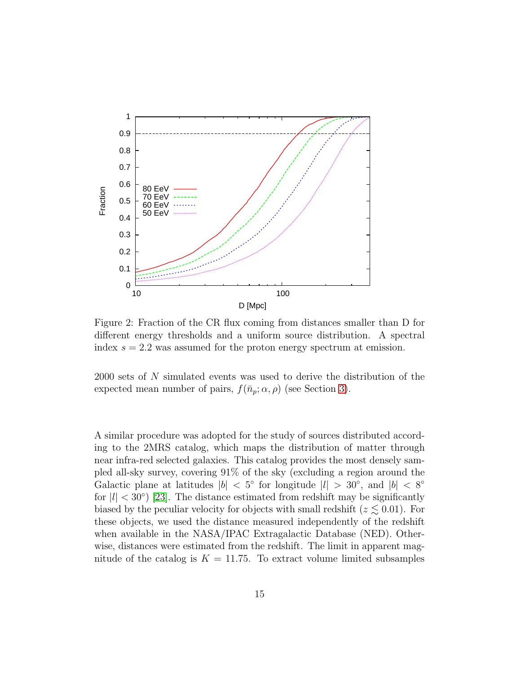

<span id="page-16-0"></span>Figure 2: Fraction of the CR flux coming from distances smaller than D for different energy thresholds and a uniform source distribution. A spectral index  $s = 2.2$  was assumed for the proton energy spectrum at emission.

2000 sets of N simulated events was used to derive the distribution of the expected mean number of pairs,  $f(\bar{n}_p; \alpha, \rho)$  (see Section [3\)](#page-12-0).

A similar procedure was adopted for the study of sources distributed according to the 2MRS catalog, which maps the distribution of matter through near infra-red selected galaxies. This catalog provides the most densely sampled all-sky survey, covering 91% of the sky (excluding a region around the Galactic plane at latitudes  $|b| < 5^{\circ}$  for longitude  $|l| > 30^{\circ}$ , and  $|b| < 8^{\circ}$ for  $|l| < 30°$ ) [\[23\]](#page-26-7). The distance estimated from redshift may be significantly biased by the peculiar velocity for objects with small redshift ( $z \lesssim 0.01$ ). For these objects, we used the distance measured independently of the redshift when available in the NASA/IPAC Extragalactic Database (NED). Otherwise, distances were estimated from the redshift. The limit in apparent magnitude of the catalog is  $K = 11.75$ . To extract volume limited subsamples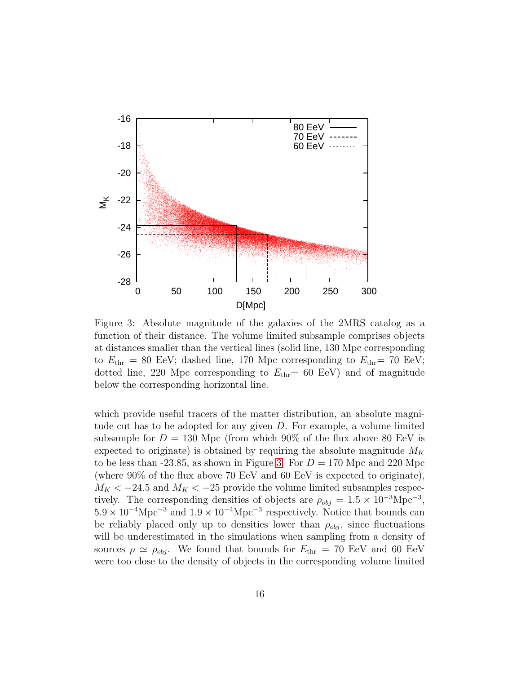

<span id="page-17-0"></span>Figure 3: Absolute magnitude of the galaxies of the 2MRS catalog as a function of their distance. The volume limited subsample comprises objects at distances smaller than the vertical lines (solid line, 130 Mpc corresponding to  $E_{\text{thr}} = 80$  EeV; dashed line, 170 Mpc corresponding to  $E_{\text{thr}} = 70$  EeV; dotted line, 220 Mpc corresponding to  $E_{\text{thr}}$  = 60 EeV) and of magnitude below the corresponding horizontal line.

which provide useful tracers of the matter distribution, an absolute magnitude cut has to be adopted for any given D. For example, a volume limited subsample for  $D = 130$  Mpc (from which 90% of the flux above 80 EeV is expected to originate) is obtained by requiring the absolute magnitude  $M_K$ to be less than -23.85, as shown in Figure [3.](#page-17-0) For  $D = 170$  Mpc and 220 Mpc (where 90% of the flux above 70 EeV and 60 EeV is expected to originate),  $M_K < -24.5$  and  $M_K < -25$  provide the volume limited subsamples respectively. The corresponding densities of objects are  $\rho_{obj} = 1.5 \times 10^{-3} \text{Mpc}^{-3}$ ,  $5.9 \times 10^{-4} \text{Mpc}^{-3}$  and  $1.9 \times 10^{-4} \text{Mpc}^{-3}$  respectively. Notice that bounds can be reliably placed only up to densities lower than  $\rho_{obj}$ , since fluctuations will be underestimated in the simulations when sampling from a density of sources  $\rho \simeq \rho_{obj}$ . We found that bounds for  $E_{thr} = 70$  EeV and 60 EeV were too close to the density of objects in the corresponding volume limited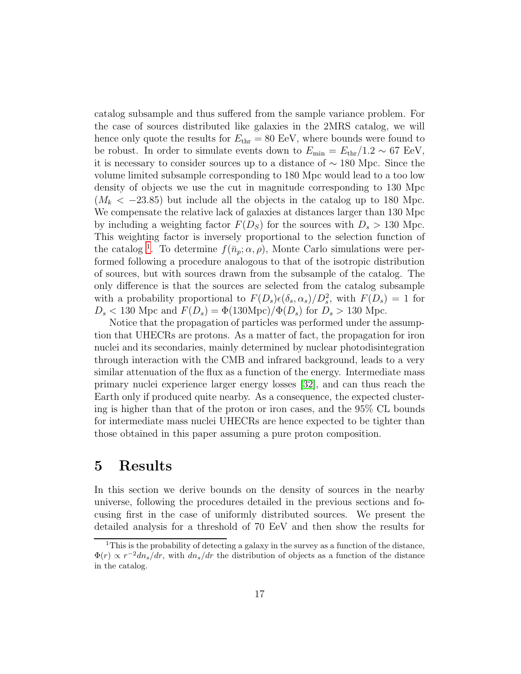catalog subsample and thus suffered from the sample variance problem. For the case of sources distributed like galaxies in the 2MRS catalog, we will hence only quote the results for  $E_{\text{thr}} = 80$  EeV, where bounds were found to be robust. In order to simulate events down to  $E_{\text{min}} = E_{\text{thr}}/1.2 \sim 67 \text{ EeV}$ , it is necessary to consider sources up to a distance of ∼ 180 Mpc. Since the volume limited subsample corresponding to 180 Mpc would lead to a too low density of objects we use the cut in magnitude corresponding to 130 Mpc  $(M_k < -23.85)$  but include all the objects in the catalog up to 180 Mpc. We compensate the relative lack of galaxies at distances larger than 130 Mpc by including a weighting factor  $F(D<sub>S</sub>)$  for the sources with  $D<sub>s</sub> > 130$  Mpc. This weighting factor is inversely proportional to the selection function of the catalog<sup>[1](#page-18-0)</sup>. To determine  $f(\bar{n}_p; \alpha, \rho)$ , Monte Carlo simulations were performed following a procedure analogous to that of the isotropic distribution of sources, but with sources drawn from the subsample of the catalog. The only difference is that the sources are selected from the catalog subsample with a probability proportional to  $F(D_s) \epsilon(\delta_s, \alpha_s)/D_s^2$ , with  $F(D_s) = 1$  for  $D_s < 130$  Mpc and  $F(D_s) = \Phi(130 \text{Mpc})/\Phi(D_s)$  for  $D_s > 130$  Mpc.

Notice that the propagation of particles was performed under the assumption that UHECRs are protons. As a matter of fact, the propagation for iron nuclei and its secondaries, mainly determined by nuclear photodisintegration through interaction with the CMB and infrared background, leads to a very similar attenuation of the flux as a function of the energy. Intermediate mass primary nuclei experience larger energy losses [\[32\]](#page-26-15), and can thus reach the Earth only if produced quite nearby. As a consequence, the expected clustering is higher than that of the proton or iron cases, and the 95% CL bounds for intermediate mass nuclei UHECRs are hence expected to be tighter than those obtained in this paper assuming a pure proton composition.

## 5 Results

In this section we derive bounds on the density of sources in the nearby universe, following the procedures detailed in the previous sections and focusing first in the case of uniformly distributed sources. We present the detailed analysis for a threshold of 70 EeV and then show the results for

<span id="page-18-0"></span><sup>&</sup>lt;sup>1</sup>This is the probability of detecting a galaxy in the survey as a function of the distance,  $\Phi(r) \propto r^{-2} d n_s / dr$ , with  $d n_s / dr$  the distribution of objects as a function of the distance in the catalog.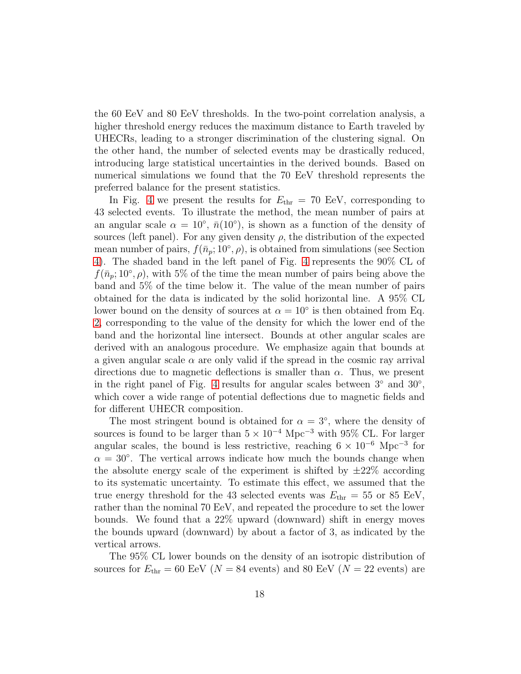the 60 EeV and 80 EeV thresholds. In the two-point correlation analysis, a higher threshold energy reduces the maximum distance to Earth traveled by UHECRs, leading to a stronger discrimination of the clustering signal. On the other hand, the number of selected events may be drastically reduced, introducing large statistical uncertainties in the derived bounds. Based on numerical simulations we found that the 70 EeV threshold represents the preferred balance for the present statistics.

In Fig. [4](#page-20-0) we present the results for  $E_{\text{thr}} = 70$  EeV, corresponding to 43 selected events. To illustrate the method, the mean number of pairs at an angular scale  $\alpha = 10^{\circ}$ ,  $\bar{n}(10^{\circ})$ , is shown as a function of the density of sources (left panel). For any given density  $\rho$ , the distribution of the expected mean number of pairs,  $f(\bar{n}_p; 10^\circ, \rho)$ , is obtained from simulations (see Section [4\)](#page-14-0). The shaded band in the left panel of Fig. [4](#page-20-0) represents the 90% CL of  $f(\bar{n}_p; 10^\circ, \rho)$ , with 5% of the time the mean number of pairs being above the band and 5% of the time below it. The value of the mean number of pairs obtained for the data is indicated by the solid horizontal line. A 95% CL lower bound on the density of sources at  $\alpha = 10^{\circ}$  is then obtained from Eq. [2,](#page-14-1) corresponding to the value of the density for which the lower end of the band and the horizontal line intersect. Bounds at other angular scales are derived with an analogous procedure. We emphasize again that bounds at a given angular scale  $\alpha$  are only valid if the spread in the cosmic ray arrival directions due to magnetic deflections is smaller than  $\alpha$ . Thus, we present in the right panel of Fig. [4](#page-20-0) results for angular scales between  $3°$  and  $30°$ , which cover a wide range of potential deflections due to magnetic fields and for different UHECR composition.

The most stringent bound is obtained for  $\alpha = 3^{\circ}$ , where the density of sources is found to be larger than  $5 \times 10^{-4}$  Mpc<sup>-3</sup> with 95% CL. For larger angular scales, the bound is less restrictive, reaching  $6 \times 10^{-6}$  Mpc<sup>-3</sup> for  $\alpha = 30^{\circ}$ . The vertical arrows indicate how much the bounds change when the absolute energy scale of the experiment is shifted by  $\pm 22\%$  according to its systematic uncertainty. To estimate this effect, we assumed that the true energy threshold for the 43 selected events was  $E_{\text{thr}} = 55$  or 85 EeV, rather than the nominal 70 EeV, and repeated the procedure to set the lower bounds. We found that a 22% upward (downward) shift in energy moves the bounds upward (downward) by about a factor of 3, as indicated by the vertical arrows.

The 95% CL lower bounds on the density of an isotropic distribution of sources for  $E_{\text{thr}} = 60$  EeV ( $N = 84$  events) and 80 EeV ( $N = 22$  events) are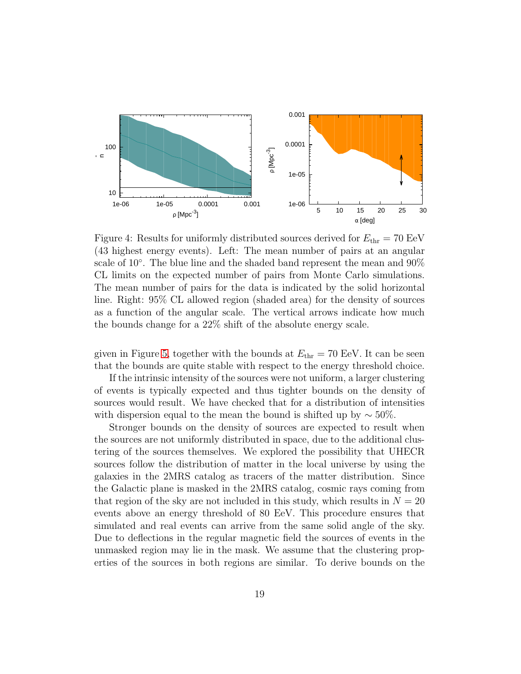

<span id="page-20-0"></span>Figure 4: Results for uniformly distributed sources derived for  $E_{\text{thr}} = 70 \text{ EeV}$ (43 highest energy events). Left: The mean number of pairs at an angular scale of 10<sup>°</sup>. The blue line and the shaded band represent the mean and 90<sup>%</sup> CL limits on the expected number of pairs from Monte Carlo simulations. The mean number of pairs for the data is indicated by the solid horizontal line. Right: 95% CL allowed region (shaded area) for the density of sources as a function of the angular scale. The vertical arrows indicate how much the bounds change for a 22% shift of the absolute energy scale.

given in Figure [5,](#page-21-0) together with the bounds at  $E_{\text{thr}} = 70$  EeV. It can be seen that the bounds are quite stable with respect to the energy threshold choice.

If the intrinsic intensity of the sources were not uniform, a larger clustering of events is typically expected and thus tighter bounds on the density of sources would result. We have checked that for a distribution of intensities with dispersion equal to the mean the bound is shifted up by  $\sim$  50%.

Stronger bounds on the density of sources are expected to result when the sources are not uniformly distributed in space, due to the additional clustering of the sources themselves. We explored the possibility that UHECR sources follow the distribution of matter in the local universe by using the galaxies in the 2MRS catalog as tracers of the matter distribution. Since the Galactic plane is masked in the 2MRS catalog, cosmic rays coming from that region of the sky are not included in this study, which results in  $N = 20$ events above an energy threshold of 80 EeV. This procedure ensures that simulated and real events can arrive from the same solid angle of the sky. Due to deflections in the regular magnetic field the sources of events in the unmasked region may lie in the mask. We assume that the clustering properties of the sources in both regions are similar. To derive bounds on the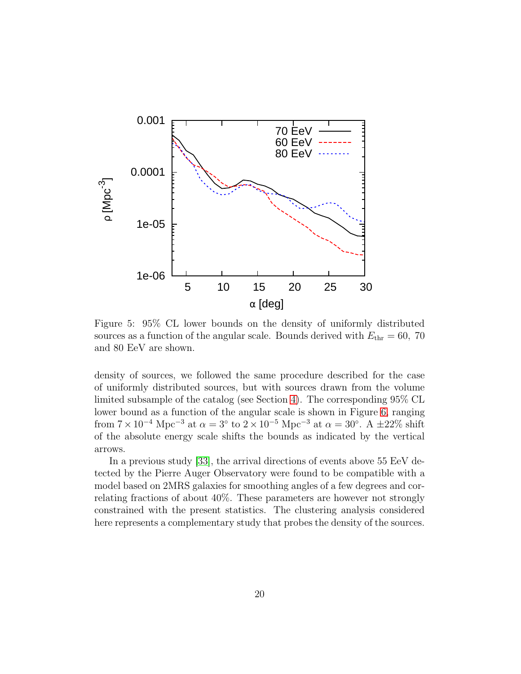

<span id="page-21-0"></span>Figure 5: 95% CL lower bounds on the density of uniformly distributed sources as a function of the angular scale. Bounds derived with  $E_{\text{thr}} = 60$ , 70 and 80 EeV are shown.

density of sources, we followed the same procedure described for the case of uniformly distributed sources, but with sources drawn from the volume limited subsample of the catalog (see Section [4\)](#page-14-0). The corresponding 95% CL lower bound as a function of the angular scale is shown in Figure [6,](#page-22-0) ranging from  $7 \times 10^{-4}$  Mpc<sup>-3</sup> at  $\alpha = 3^{\circ}$  to  $2 \times 10^{-5}$  Mpc<sup>-3</sup> at  $\alpha = 30^{\circ}$ . A  $\pm 22\%$  shift of the absolute energy scale shifts the bounds as indicated by the vertical arrows.

In a previous study [\[33\]](#page-26-16), the arrival directions of events above 55 EeV detected by the Pierre Auger Observatory were found to be compatible with a model based on 2MRS galaxies for smoothing angles of a few degrees and correlating fractions of about 40%. These parameters are however not strongly constrained with the present statistics. The clustering analysis considered here represents a complementary study that probes the density of the sources.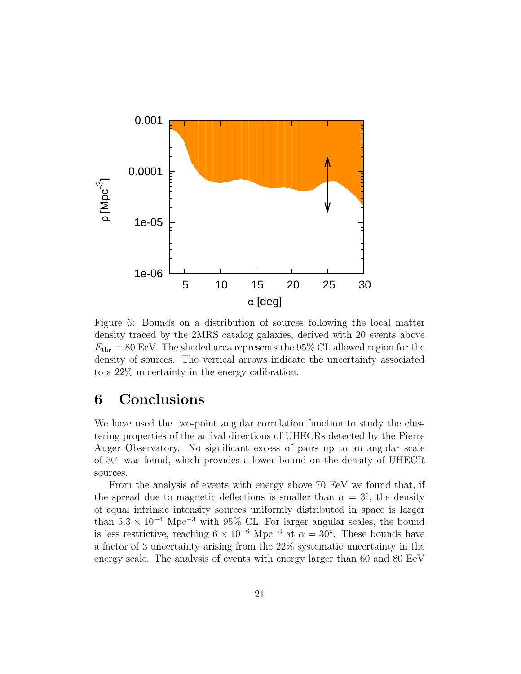

<span id="page-22-0"></span>Figure 6: Bounds on a distribution of sources following the local matter density traced by the 2MRS catalog galaxies, derived with 20 events above  $E_{\text{thr}} = 80 \text{ EeV}$ . The shaded area represents the 95% CL allowed region for the density of sources. The vertical arrows indicate the uncertainty associated to a 22% uncertainty in the energy calibration.

# 6 Conclusions

We have used the two-point angular correlation function to study the clustering properties of the arrival directions of UHECRs detected by the Pierre Auger Observatory. No significant excess of pairs up to an angular scale of 30◦ was found, which provides a lower bound on the density of UHECR sources.

From the analysis of events with energy above 70 EeV we found that, if the spread due to magnetic deflections is smaller than  $\alpha = 3^{\circ}$ , the density of equal intrinsic intensity sources uniformly distributed in space is larger than  $5.3 \times 10^{-4}$  Mpc<sup>-3</sup> with 95% CL. For larger angular scales, the bound is less restrictive, reaching  $6 \times 10^{-6}$  Mpc<sup>-3</sup> at  $\alpha = 30^{\circ}$ . These bounds have a factor of 3 uncertainty arising from the 22% systematic uncertainty in the energy scale. The analysis of events with energy larger than 60 and 80 EeV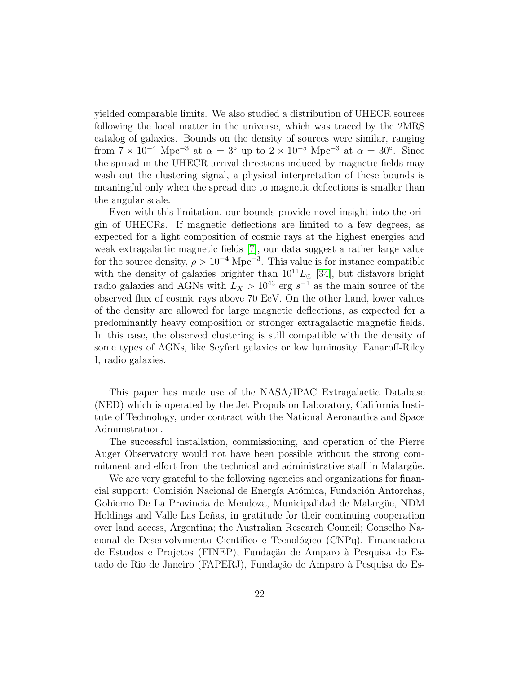yielded comparable limits. We also studied a distribution of UHECR sources following the local matter in the universe, which was traced by the 2MRS catalog of galaxies. Bounds on the density of sources were similar, ranging from  $7 \times 10^{-4}$  Mpc<sup>-3</sup> at  $\alpha = 3^{\circ}$  up to  $2 \times 10^{-5}$  Mpc<sup>-3</sup> at  $\alpha = 30^{\circ}$ . Since the spread in the UHECR arrival directions induced by magnetic fields may wash out the clustering signal, a physical interpretation of these bounds is meaningful only when the spread due to magnetic deflections is smaller than the angular scale.

Even with this limitation, our bounds provide novel insight into the origin of UHECRs. If magnetic deflections are limited to a few degrees, as expected for a light composition of cosmic rays at the highest energies and weak extragalactic magnetic fields [\[7\]](#page-25-6), our data suggest a rather large value for the source density,  $\rho > 10^{-4}$  Mpc<sup>-3</sup>. This value is for instance compatible with the density of galaxies brighter than  $10^{11}L_{\odot}$  [\[34\]](#page-26-17), but disfavors bright radio galaxies and AGNs with  $L_X > 10^{43}$  erg  $s^{-1}$  as the main source of the observed flux of cosmic rays above 70 EeV. On the other hand, lower values of the density are allowed for large magnetic deflections, as expected for a predominantly heavy composition or stronger extragalactic magnetic fields. In this case, the observed clustering is still compatible with the density of some types of AGNs, like Seyfert galaxies or low luminosity, Fanaroff-Riley I, radio galaxies.

This paper has made use of the NASA/IPAC Extragalactic Database (NED) which is operated by the Jet Propulsion Laboratory, California Institute of Technology, under contract with the National Aeronautics and Space Administration.

The successful installation, commissioning, and operation of the Pierre Auger Observatory would not have been possible without the strong commitment and effort from the technical and administrative staff in Malargüe.

We are very grateful to the following agencies and organizations for financial support: Comisión Nacional de Energía Atómica, Fundación Antorchas, Gobierno De La Provincia de Mendoza, Municipalidad de Malargüe, NDM Holdings and Valle Las Le˜nas, in gratitude for their continuing cooperation over land access, Argentina; the Australian Research Council; Conselho Nacional de Desenvolvimento Científico e Tecnológico (CNPq), Financiadora de Estudos e Projetos (FINEP), Fundação de Amparo à Pesquisa do Estado de Rio de Janeiro (FAPERJ), Fundação de Amparo à Pesquisa do Es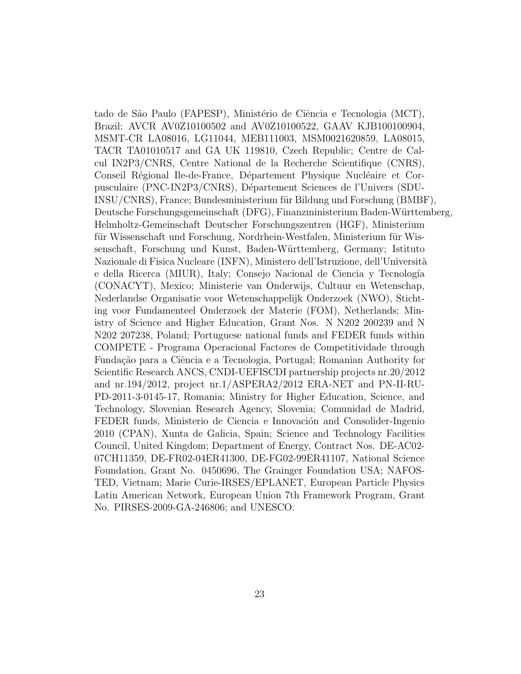tado de São Paulo (FAPESP), Ministério de Ciência e Tecnologia (MCT), Brazil; AVCR AV0Z10100502 and AV0Z10100522, GAAV KJB100100904, MSMT-CR LA08016, LG11044, MEB111003, MSM0021620859, LA08015, TACR TA01010517 and GA UK 119810, Czech Republic; Centre de Calcul IN2P3/CNRS, Centre National de la Recherche Scientifique (CNRS), Conseil Régional Ile-de-France, Département Physique Nucléaire et Corpusculaire (PNC-IN2P3/CNRS), D´epartement Sciences de l'Univers (SDU-INSU/CNRS), France; Bundesministerium für Bildung und Forschung (BMBF), Deutsche Forschungsgemeinschaft (DFG), Finanzministerium Baden-Württemberg, Helmholtz-Gemeinschaft Deutscher Forschungszentren (HGF), Ministerium für Wissenschaft und Forschung, Nordrhein-Westfalen, Ministerium für Wissenschaft, Forschung und Kunst, Baden-Württemberg, Germany; Istituto Nazionale di Fisica Nucleare (INFN), Ministero dell'Istruzione, dell'Università e della Ricerca (MIUR), Italy; Consejo Nacional de Ciencia y Tecnología (CONACYT), Mexico; Ministerie van Onderwijs, Cultuur en Wetenschap, Nederlandse Organisatie voor Wetenschappelijk Onderzoek (NWO), Stichting voor Fundamenteel Onderzoek der Materie (FOM), Netherlands; Ministry of Science and Higher Education, Grant Nos. N N202 200239 and N N202 207238, Poland; Portuguese national funds and FEDER funds within COMPETE - Programa Operacional Factores de Competitividade through Fundação para a Ciência e a Tecnologia, Portugal; Romanian Authority for Scientific Research ANCS, CNDI-UEFISCDI partnership projects nr.20/2012 and nr.194/2012, project nr.1/ASPERA2/2012 ERA-NET and PN-II-RU-PD-2011-3-0145-17, Romania; Ministry for Higher Education, Science, and Technology, Slovenian Research Agency, Slovenia; Comunidad de Madrid, FEDER funds, Ministerio de Ciencia e Innovación and Consolider-Ingenio 2010 (CPAN), Xunta de Galicia, Spain; Science and Technology Facilities Council, United Kingdom; Department of Energy, Contract Nos. DE-AC02- 07CH11359, DE-FR02-04ER41300, DE-FG02-99ER41107, National Science Foundation, Grant No. 0450696, The Grainger Foundation USA; NAFOS-TED, Vietnam; Marie Curie-IRSES/EPLANET, European Particle Physics Latin American Network, European Union 7th Framework Program, Grant No. PIRSES-2009-GA-246806; and UNESCO.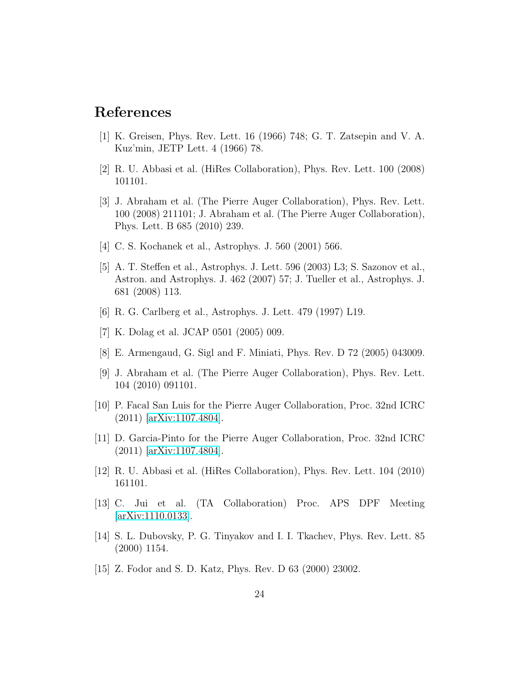### <span id="page-25-0"></span>References

- <span id="page-25-1"></span>[1] K. Greisen, Phys. Rev. Lett. 16 (1966) 748; G. T. Zatsepin and V. A. Kuz'min, JETP Lett. 4 (1966) 78.
- <span id="page-25-2"></span>[2] R. U. Abbasi et al. (HiRes Collaboration), Phys. Rev. Lett. 100 (2008) 101101.
- [3] J. Abraham et al. (The Pierre Auger Collaboration), Phys. Rev. Lett. 100 (2008) 211101; J. Abraham et al. (The Pierre Auger Collaboration), Phys. Lett. B 685 (2010) 239.
- <span id="page-25-4"></span><span id="page-25-3"></span>[4] C. S. Kochanek et al., Astrophys. J. 560 (2001) 566.
- [5] A. T. Steffen et al., Astrophys. J. Lett. 596 (2003) L3; S. Sazonov et al., Astron. and Astrophys. J. 462 (2007) 57; J. Tueller et al., Astrophys. J. 681 (2008) 113.
- <span id="page-25-6"></span><span id="page-25-5"></span>[6] R. G. Carlberg et al., Astrophys. J. Lett. 479 (1997) L19.
- <span id="page-25-7"></span>[7] K. Dolag et al. JCAP 0501 (2005) 009.
- <span id="page-25-8"></span>[8] E. Armengaud, G. Sigl and F. Miniati, Phys. Rev. D 72 (2005) 043009.
- [9] J. Abraham et al. (The Pierre Auger Collaboration), Phys. Rev. Lett. 104 (2010) 091101.
- <span id="page-25-9"></span>[10] P. Facal San Luis for the Pierre Auger Collaboration, Proc. 32nd ICRC (2011) [\[arXiv:1107.4804\]](http://arxiv.org/abs/1107.4804).
- <span id="page-25-10"></span>[11] D. Garcia-Pinto for the Pierre Auger Collaboration, Proc. 32nd ICRC (2011) [\[arXiv:1107.4804\]](http://arxiv.org/abs/1107.4804).
- <span id="page-25-12"></span><span id="page-25-11"></span>[12] R. U. Abbasi et al. (HiRes Collaboration), Phys. Rev. Lett. 104 (2010) 161101.
- [13] C. Jui et al. (TA Collaboration) Proc. APS DPF Meeting [\[arXiv:1110.0133\]](http://arxiv.org/abs/1110.0133).
- <span id="page-25-13"></span>[14] S. L. Dubovsky, P. G. Tinyakov and I. I. Tkachev, Phys. Rev. Lett. 85 (2000) 1154.
- <span id="page-25-14"></span>[15] Z. Fodor and S. D. Katz, Phys. Rev. D 63 (2000) 23002.